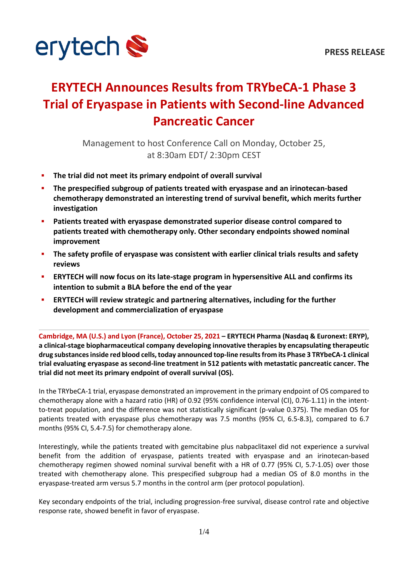

# **ERYTECH Announces Results from TRYbeCA-1 Phase 3 Trial of Eryaspase in Patients with Second-line Advanced Pancreatic Cancer**

Management to host Conference Call on Monday, October 25, at 8:30am EDT/ 2:30pm CEST

- **The trial did not meet its primary endpoint of overall survival**
- **The prespecified subgroup of patients treated with eryaspase and an irinotecan-based chemotherapy demonstrated an interesting trend of survival benefit, which merits further investigation**
- **Patients treated with eryaspase demonstrated superior disease control compared to patients treated with chemotherapy only. Other secondary endpoints showed nominal improvement**
- The safety profile of eryaspase was consistent with earlier clinical trials results and safety **reviews**
- **ERYTECH will now focus on its late-stage program in hypersensitive ALL and confirms its intention to submit a BLA before the end of the year**
- **ERYTECH will review strategic and partnering alternatives, including for the further development and commercialization of eryaspase**

**Cambridge, MA (U.S.) and Lyon (France), October 25, 2021 – ERYTECH Pharma (Nasdaq & Euronext: ERYP), a clinical-stage biopharmaceutical company developing innovative therapies by encapsulating therapeutic drug substances inside red blood cells, today announced top-line resultsfrom its Phase 3 TRYbeCA-1 clinical trial evaluating eryaspase as second-line treatment in 512 patients with metastatic pancreatic cancer. The trial did not meet its primary endpoint of overall survival (OS).**

In the TRYbeCA-1 trial, eryaspase demonstrated an improvement in the primary endpoint of OS compared to chemotherapy alone with a hazard ratio (HR) of 0.92 (95% confidence interval (CI), 0.76-1.11) in the intentto-treat population, and the difference was not statistically significant (p-value 0.375). The median OS for patients treated with eryaspase plus chemotherapy was 7.5 months (95% CI, 6.5-8.3), compared to 6.7 months (95% CI, 5.4-7.5) for chemotherapy alone.

Interestingly, while the patients treated with gemcitabine plus nabpaclitaxel did not experience a survival benefit from the addition of eryaspase, patients treated with eryaspase and an irinotecan-based chemotherapy regimen showed nominal survival benefit with a HR of 0.77 (95% CI, 5.7-1.05) over those treated with chemotherapy alone. This prespecified subgroup had a median OS of 8.0 months in the eryaspase-treated arm versus 5.7 months in the control arm (per protocol population).

Key secondary endpoints of the trial, including progression-free survival, disease control rate and objective response rate, showed benefit in favor of eryaspase.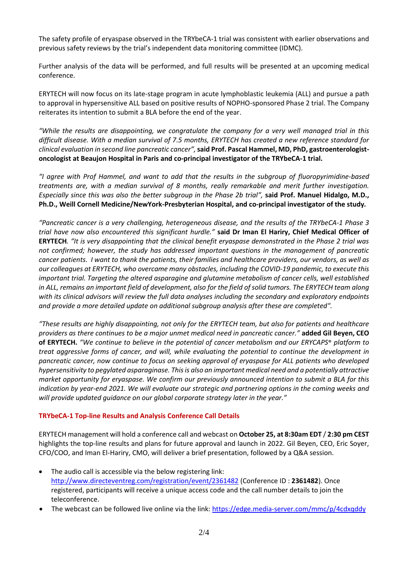The safety profile of eryaspase observed in the TRYbeCA-1 trial was consistent with earlier observations and previous safety reviews by the trial's independent data monitoring committee (IDMC).

Further analysis of the data will be performed, and full results will be presented at an upcoming medical conference.

ERYTECH will now focus on its late-stage program in acute lymphoblastic leukemia (ALL) and pursue a path to approval in hypersensitive ALL based on positive results of NOPHO-sponsored Phase 2 trial. The Company reiterates its intention to submit a BLA before the end of the year.

*"While the results are disappointing, we congratulate the company for a very well managed trial in this difficult disease. With a median survival of 7.5 months, ERYTECH has created a new reference standard for clinical evaluation in second line pancreatic cancer",***said Prof. Pascal Hammel, MD, PhD, gastroenterologistoncologist at Beaujon Hospital in Paris and co-principal investigator of the TRYbeCA-1 trial.**

*"I agree with Prof Hammel, and want to add that the results in the subgroup of fluoropyrimidine-based treatments are, with a median survival of 8 months, really remarkable and merit further investigation. Especially since this was also the better subgroup in the Phase 2b trial",* **said Prof. Manuel Hidalgo, M.D., Ph.D., Weill Cornell Medicine/NewYork-Presbyterian Hospital, and co-principal investigator of the study***.*

*"Pancreatic cancer is a very challenging, heterogeneous disease, and the results of the TRYbeCA-1 Phase 3 trial have now also encountered this significant hurdle."* **said Dr Iman El Hariry, Chief Medical Officer of ERYTECH***. "It is very disappointing that the clinical benefit eryaspase demonstrated in the Phase 2 trial was not confirmed; however, the study has addressed important questions in the management of pancreatic cancer patients. I want to thank the patients, their families and healthcare providers, our vendors, as well as our colleagues at ERYTECH, who overcame many obstacles, including the COVID-19 pandemic, to execute this important trial. Targeting the altered asparagine and glutamine metabolism of cancer cells, well established in ALL, remains an important field of development, also for the field of solid tumors. The ERYTECH team along with its clinical advisors will review the full data analyses including the secondary and exploratory endpoints and provide a more detailed update on additional subgroup analysis after these are completed".* 

*"These results are highly disappointing, not only for the ERYTECH team, but also for patients and healthcare providers as there continues to be a major unmet medical need in pancreatic cancer."* **added Gil Beyen, CEO of ERYTECH.** *"We continue to believe in the potential of cancer metabolism and our ERYCAPS*® *platform to treat aggressive forms of cancer, and will, while evaluating the potential to continue the development in pancreatic cancer, now continue to focus on seeking approval of eryaspase for ALL patients who developed hypersensitivity to pegylated asparaginase. This is also an important medical need and a potentially attractive market opportunity for eryaspase. We confirm our previously announced intention to submit a BLA for this indication by year-end 2021. We will evaluate our strategic and partnering options in the coming weeks and will provide updated guidance on our global corporate strategy later in the year."*

# **TRYbeCA-1 Top-line Results and Analysis Conference Call Details**

ERYTECH management will hold a conference call and webcast on **October 25, at 8:30am EDT** / **2:30 pm CEST** highlights the top-line results and plans for future approval and launch in 2022. Gil Beyen, CEO, Eric Soyer, CFO/COO, and Iman El-Hariry, CMO, will deliver a brief presentation, followed by a Q&A session.

- The audio call is accessible via the below registering link: <http://www.directeventreg.com/registration/event/2361482> (Conference ID : **2361482**). Once registered, participants will receive a unique access code and the call number details to join the teleconference.
- The webcast can be followed live online via the link[: https://edge.media-server.com/mmc/p/4cdxqddy](https://edge.media-server.com/mmc/p/4cdxqddy)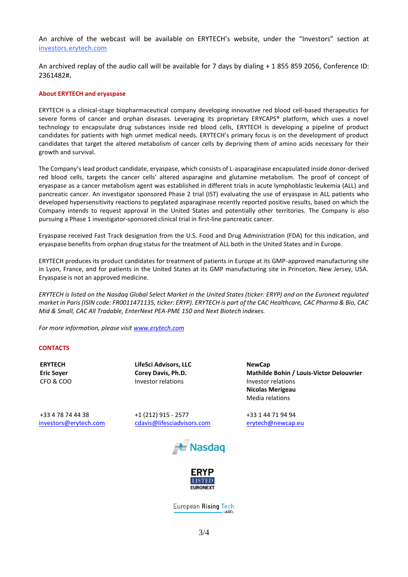An archive of the webcast will be available on ERYTECH's website, under the "Investors" section at investors.erytech.com

An archived replay of the audio call will be available for 7 days by dialing + 1 855 859 2056, Conference ID: 2361482#**.**

## **About ERYTECH and eryaspase**

ERYTECH is a clinical-stage biopharmaceutical company developing innovative red blood cell-based therapeutics for severe forms of cancer and orphan diseases. Leveraging its proprietary ERYCAPS® platform, which uses a novel technology to encapsulate drug substances inside red blood cells, ERYTECH is developing a pipeline of product candidates for patients with high unmet medical needs. ERYTECH's primary focus is on the development of product candidates that target the altered metabolism of cancer cells by depriving them of amino acids necessary for their growth and survival.

The Company's lead product candidate, eryaspase, which consists of L-asparaginase encapsulated inside donor-derived red blood cells, targets the cancer cells' altered asparagine and glutamine metabolism. The proof of concept of eryaspase as a cancer metabolism agent was established in different trials in acute lymphoblastic leukemia (ALL) and pancreatic cancer. An investigator sponsored Phase 2 trial (IST) evaluating the use of eryaspase in ALL patients who developed hypersensitivity reactions to pegylated asparaginase recently reported positive results, based on which the Company intends to request approval in the United States and potentially other territories. The Company is also pursuing a Phase 1 investigator-sponsored clinical trial in first-line pancreatic cancer.

Eryaspase received Fast Track designation from the U.S. Food and Drug Administration (FDA) for this indication, and eryaspase benefits from orphan drug status for the treatment of ALL both in the United States and in Europe.

ERYTECH produces its product candidates for treatment of patients in Europe at its GMP-approved manufacturing site in Lyon, France, and for patients in the United States at its GMP manufacturing site in Princeton, New Jersey, USA. Eryaspase is not an approved medicine.

*ERYTECH is listed on the Nasdaq Global Select Market in the United States (ticker: ERYP) and on the Euronext regulated market in Paris (ISIN code: FR0011471135, ticker: ERYP). ERYTECH is part of the CAC Healthcare, CAC Pharma & Bio, CAC Mid & Small, CAC All Tradable, EnterNext PEA-PME 150 and Next Biotech indexes.*

*For more information, please visit [www.erytech.com](http://www.erytech.com/)*

### **CONTACTS**

**ERYTECH Eric Soyer** CFO & COO **LifeSci Advisors, LLC Corey Davis, Ph.D.** Investor relations

+33 4 78 74 44 38 [investors@erytech.com](mailto:investors@erytech.com) +1 (212) 915 - 2577 [cdavis@lifesciadvisors.com](mailto:cdavis@lifesciadvisors.com) **NewCap Mathilde Bohin / Louis-Victor Delouvrier** Investor relations **Nicolas Merigeau** Media relations

+33 1 44 71 94 94 [erytech@newcap.eu](mailto:erytech@newcap.eu)





European Rising Tech